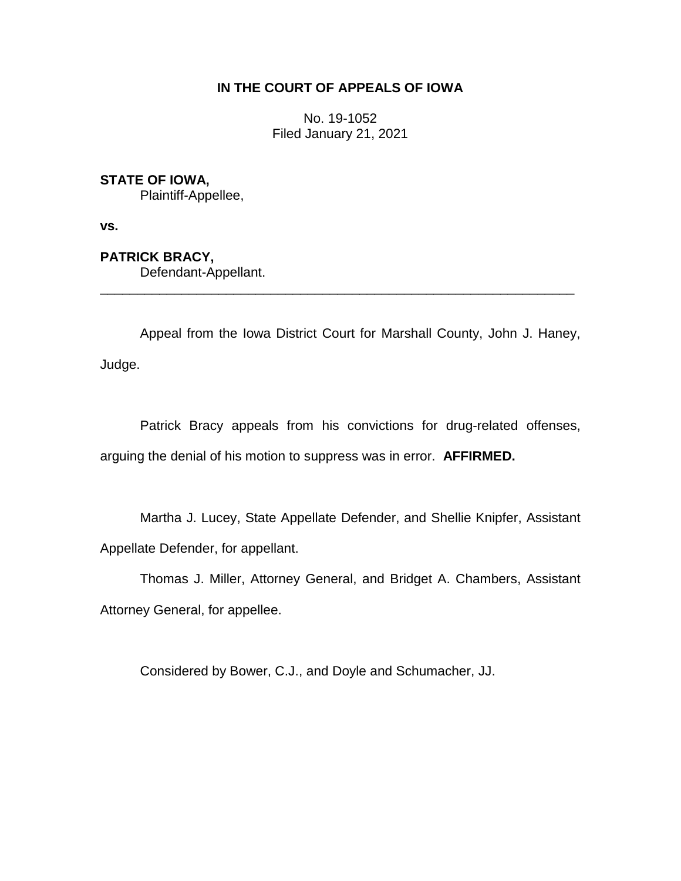# **IN THE COURT OF APPEALS OF IOWA**

No. 19-1052 Filed January 21, 2021

# **STATE OF IOWA,**

Plaintiff-Appellee,

**vs.**

**PATRICK BRACY,** Defendant-Appellant.

Appeal from the Iowa District Court for Marshall County, John J. Haney, Judge.

\_\_\_\_\_\_\_\_\_\_\_\_\_\_\_\_\_\_\_\_\_\_\_\_\_\_\_\_\_\_\_\_\_\_\_\_\_\_\_\_\_\_\_\_\_\_\_\_\_\_\_\_\_\_\_\_\_\_\_\_\_\_\_\_

Patrick Bracy appeals from his convictions for drug-related offenses, arguing the denial of his motion to suppress was in error. **AFFIRMED.**

Martha J. Lucey, State Appellate Defender, and Shellie Knipfer, Assistant Appellate Defender, for appellant.

Thomas J. Miller, Attorney General, and Bridget A. Chambers, Assistant Attorney General, for appellee.

Considered by Bower, C.J., and Doyle and Schumacher, JJ.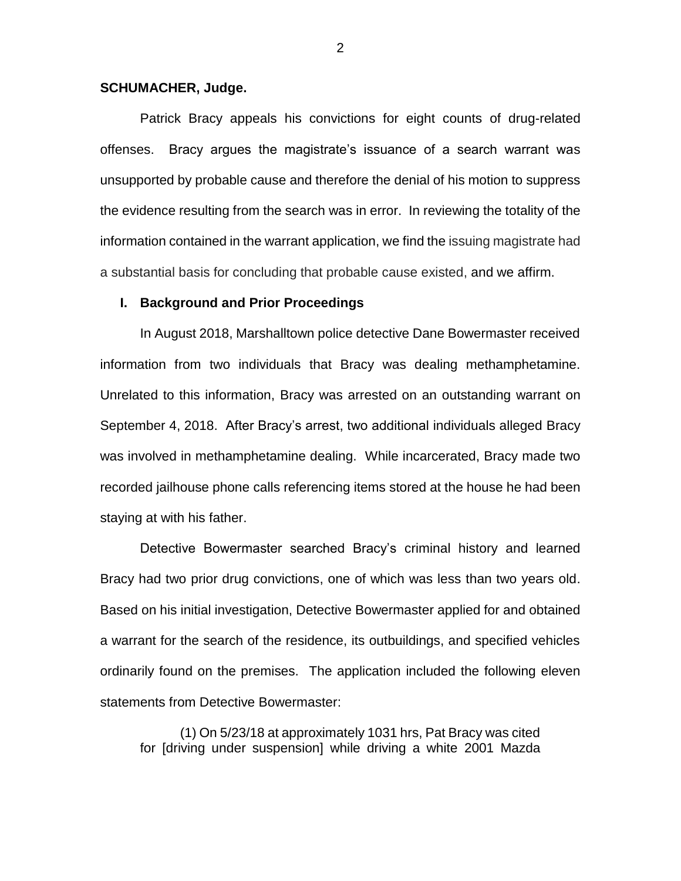## **SCHUMACHER, Judge.**

Patrick Bracy appeals his convictions for eight counts of drug-related offenses. Bracy argues the magistrate's issuance of a search warrant was unsupported by probable cause and therefore the denial of his motion to suppress the evidence resulting from the search was in error. In reviewing the totality of the information contained in the warrant application, we find the issuing magistrate had a substantial basis for concluding that probable cause existed, and we affirm.

### **I. Background and Prior Proceedings**

In August 2018, Marshalltown police detective Dane Bowermaster received information from two individuals that Bracy was dealing methamphetamine. Unrelated to this information, Bracy was arrested on an outstanding warrant on September 4, 2018. After Bracy's arrest, two additional individuals alleged Bracy was involved in methamphetamine dealing. While incarcerated, Bracy made two recorded jailhouse phone calls referencing items stored at the house he had been staying at with his father.

Detective Bowermaster searched Bracy's criminal history and learned Bracy had two prior drug convictions, one of which was less than two years old. Based on his initial investigation, Detective Bowermaster applied for and obtained a warrant for the search of the residence, its outbuildings, and specified vehicles ordinarily found on the premises. The application included the following eleven statements from Detective Bowermaster:

(1) On 5/23/18 at approximately 1031 hrs, Pat Bracy was cited for [driving under suspension] while driving a white 2001 Mazda

2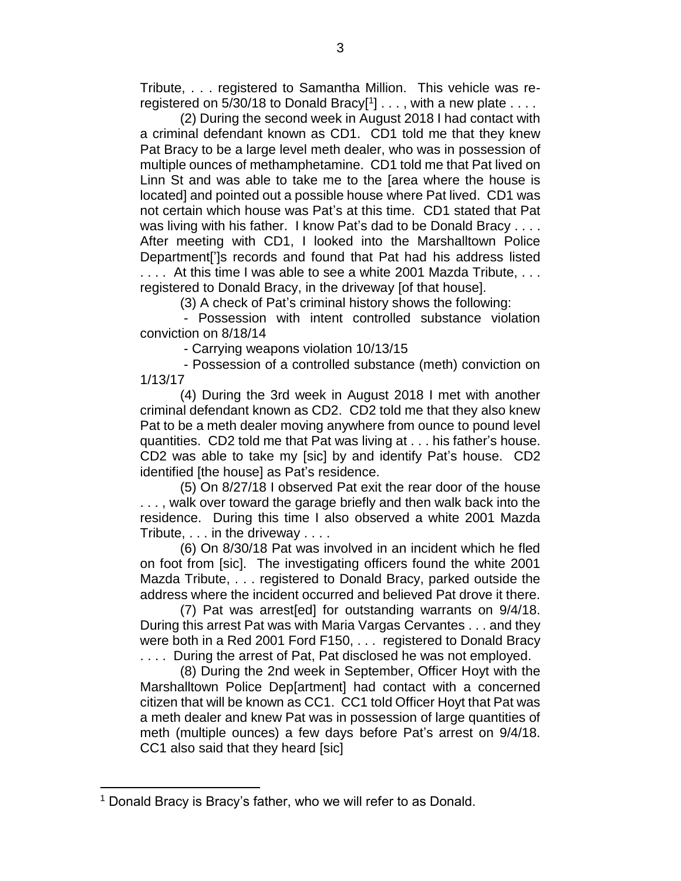Tribute, . . . registered to Samantha Million. This vehicle was reregistered on 5/30/18 to Donald Bracy $[1] \ldots$ , with a new plate  $\ldots$ .

(2) During the second week in August 2018 I had contact with a criminal defendant known as CD1. CD1 told me that they knew Pat Bracy to be a large level meth dealer, who was in possession of multiple ounces of methamphetamine. CD1 told me that Pat lived on Linn St and was able to take me to the [area where the house is located] and pointed out a possible house where Pat lived. CD1 was not certain which house was Pat's at this time. CD1 stated that Pat was living with his father. I know Pat's dad to be Donald Bracy . . . . After meeting with CD1, I looked into the Marshalltown Police Department[']s records and found that Pat had his address listed

.... At this time I was able to see a white 2001 Mazda Tribute, ... registered to Donald Bracy, in the driveway [of that house].

(3) A check of Pat's criminal history shows the following:

- Possession with intent controlled substance violation conviction on 8/18/14

- Carrying weapons violation 10/13/15

- Possession of a controlled substance (meth) conviction on 1/13/17

(4) During the 3rd week in August 2018 I met with another criminal defendant known as CD2. CD2 told me that they also knew Pat to be a meth dealer moving anywhere from ounce to pound level quantities. CD2 told me that Pat was living at . . . his father's house. CD2 was able to take my [sic] by and identify Pat's house. CD2 identified [the house] as Pat's residence.

(5) On 8/27/18 I observed Pat exit the rear door of the house . . . , walk over toward the garage briefly and then walk back into the residence. During this time I also observed a white 2001 Mazda Tribute, . . . in the driveway . . . .

(6) On 8/30/18 Pat was involved in an incident which he fled on foot from [sic]. The investigating officers found the white 2001 Mazda Tribute, . . . registered to Donald Bracy, parked outside the address where the incident occurred and believed Pat drove it there.

(7) Pat was arrest[ed] for outstanding warrants on 9/4/18. During this arrest Pat was with Maria Vargas Cervantes . . . and they were both in a Red 2001 Ford F150, . . . registered to Donald Bracy

.... During the arrest of Pat, Pat disclosed he was not employed.

(8) During the 2nd week in September, Officer Hoyt with the Marshalltown Police Dep[artment] had contact with a concerned citizen that will be known as CC1. CC1 told Officer Hoyt that Pat was a meth dealer and knew Pat was in possession of large quantities of meth (multiple ounces) a few days before Pat's arrest on 9/4/18. CC1 also said that they heard [sic]

 $\overline{a}$ 

<sup>&</sup>lt;sup>1</sup> Donald Bracy is Bracy's father, who we will refer to as Donald.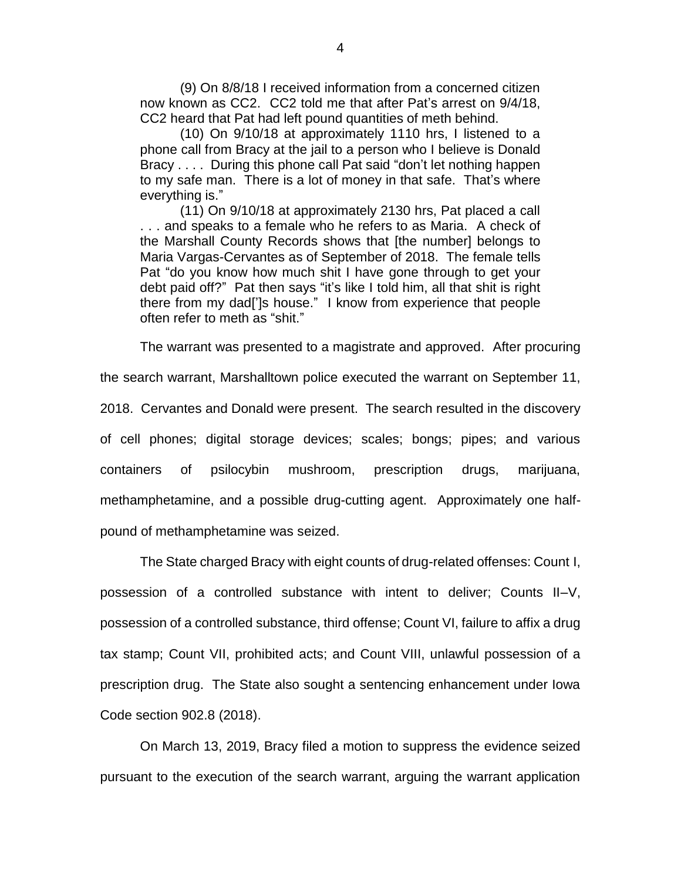(9) On 8/8/18 I received information from a concerned citizen now known as CC2. CC2 told me that after Pat's arrest on 9/4/18, CC2 heard that Pat had left pound quantities of meth behind.

(10) On 9/10/18 at approximately 1110 hrs, I listened to a phone call from Bracy at the jail to a person who I believe is Donald Bracy . . . . During this phone call Pat said "don't let nothing happen to my safe man. There is a lot of money in that safe. That's where everything is."

(11) On 9/10/18 at approximately 2130 hrs, Pat placed a call . . . and speaks to a female who he refers to as Maria. A check of the Marshall County Records shows that [the number] belongs to Maria Vargas-Cervantes as of September of 2018. The female tells Pat "do you know how much shit I have gone through to get your debt paid off?" Pat then says "it's like I told him, all that shit is right there from my dad[']s house." I know from experience that people often refer to meth as "shit."

The warrant was presented to a magistrate and approved. After procuring

the search warrant, Marshalltown police executed the warrant on September 11, 2018. Cervantes and Donald were present. The search resulted in the discovery of cell phones; digital storage devices; scales; bongs; pipes; and various containers of psilocybin mushroom, prescription drugs, marijuana, methamphetamine, and a possible drug-cutting agent. Approximately one halfpound of methamphetamine was seized.

The State charged Bracy with eight counts of drug-related offenses: Count I, possession of a controlled substance with intent to deliver; Counts II–V, possession of a controlled substance, third offense; Count VI, failure to affix a drug tax stamp; Count VII, prohibited acts; and Count VIII, unlawful possession of a prescription drug. The State also sought a sentencing enhancement under Iowa Code section 902.8 (2018).

On March 13, 2019, Bracy filed a motion to suppress the evidence seized pursuant to the execution of the search warrant, arguing the warrant application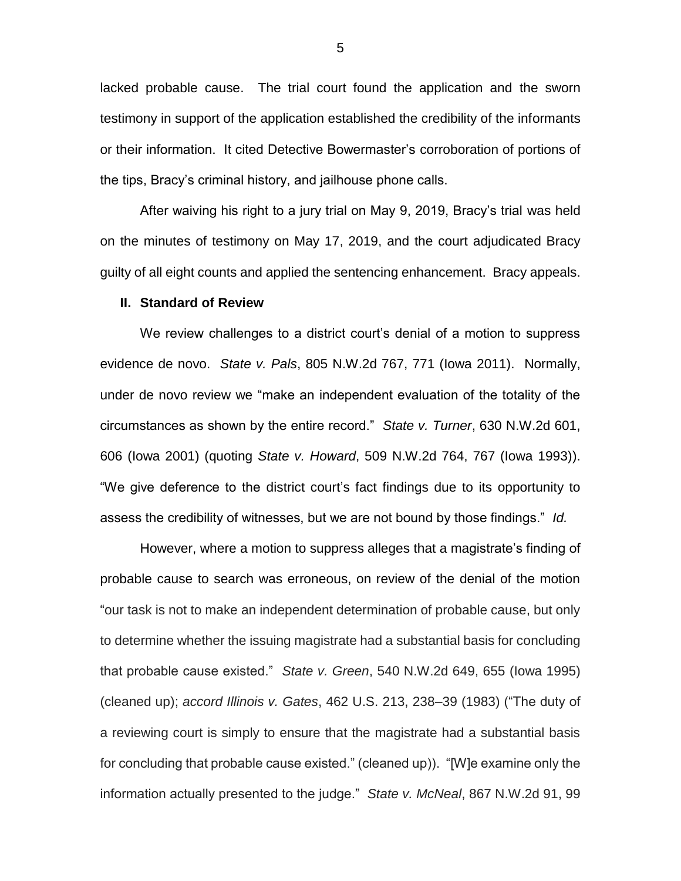lacked probable cause. The trial court found the application and the sworn testimony in support of the application established the credibility of the informants or their information. It cited Detective Bowermaster's corroboration of portions of the tips, Bracy's criminal history, and jailhouse phone calls.

After waiving his right to a jury trial on May 9, 2019, Bracy's trial was held on the minutes of testimony on May 17, 2019, and the court adjudicated Bracy guilty of all eight counts and applied the sentencing enhancement. Bracy appeals.

#### **II. Standard of Review**

We review challenges to a district court's denial of a motion to suppress evidence de novo. *State v. Pals*, 805 N.W.2d 767, 771 (Iowa 2011). Normally, under de novo review we "make an independent evaluation of the totality of the circumstances as shown by the entire record." *State v. Turner*, 630 N.W.2d 601, 606 (Iowa 2001) (quoting *State v. Howard*, 509 N.W.2d 764, 767 (Iowa 1993)). "We give deference to the district court's fact findings due to its opportunity to assess the credibility of witnesses, but we are not bound by those findings." *Id.*

However, where a motion to suppress alleges that a magistrate's finding of probable cause to search was erroneous, on review of the denial of the motion "our task is not to make an independent determination of probable cause, but only to determine whether the issuing magistrate had a substantial basis for concluding that probable cause existed." *State v. Green*, 540 N.W.2d 649, 655 (Iowa 1995) (cleaned up); *accord Illinois v. Gates*, 462 U.S. 213, 238–39 (1983) ("The duty of a reviewing court is simply to ensure that the magistrate had a substantial basis for concluding that probable cause existed." (cleaned up)). "[W]e examine only the information actually presented to the judge." *State v. McNeal*, 867 N.W.2d 91, 99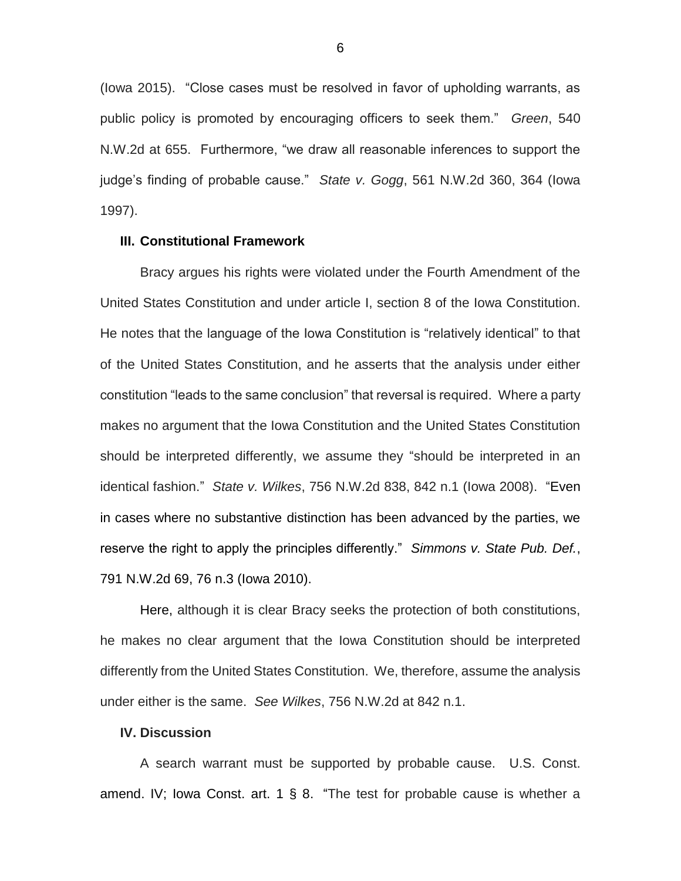(Iowa 2015). "Close cases must be resolved in favor of upholding warrants, as public policy is promoted by encouraging officers to seek them." *Green*, 540 N.W.2d at 655.Furthermore, "we draw all reasonable inferences to support the judge's finding of probable cause." *State v. Gogg*, 561 N.W.2d 360, 364 (Iowa 1997).

#### **III. Constitutional Framework**

Bracy argues his rights were violated under the Fourth Amendment of the United States Constitution and under article I, section 8 of the Iowa Constitution. He notes that the language of the Iowa Constitution is "relatively identical" to that of the United States Constitution, and he asserts that the analysis under either constitution "leads to the same conclusion" that reversal is required. Where a party makes no argument that the Iowa Constitution and the United States Constitution should be interpreted differently, we assume they "should be interpreted in an identical fashion." *State v. Wilkes*, 756 N.W.2d 838, 842 n.1 (Iowa 2008). "Even in cases where no substantive distinction has been advanced by the parties, we reserve the right to apply the principles differently." *Simmons v. State Pub. Def.*, 791 N.W.2d 69, 76 n.3 (Iowa 2010).

Here, although it is clear Bracy seeks the protection of both constitutions, he makes no clear argument that the Iowa Constitution should be interpreted differently from the United States Constitution. We, therefore, assume the analysis under either is the same. *See Wilkes*, 756 N.W.2d at 842 n.1.

# **IV. Discussion**

A search warrant must be supported by probable cause. U.S. Const. amend. IV; Iowa Const. art. 1 § 8. "The test for probable cause is whether a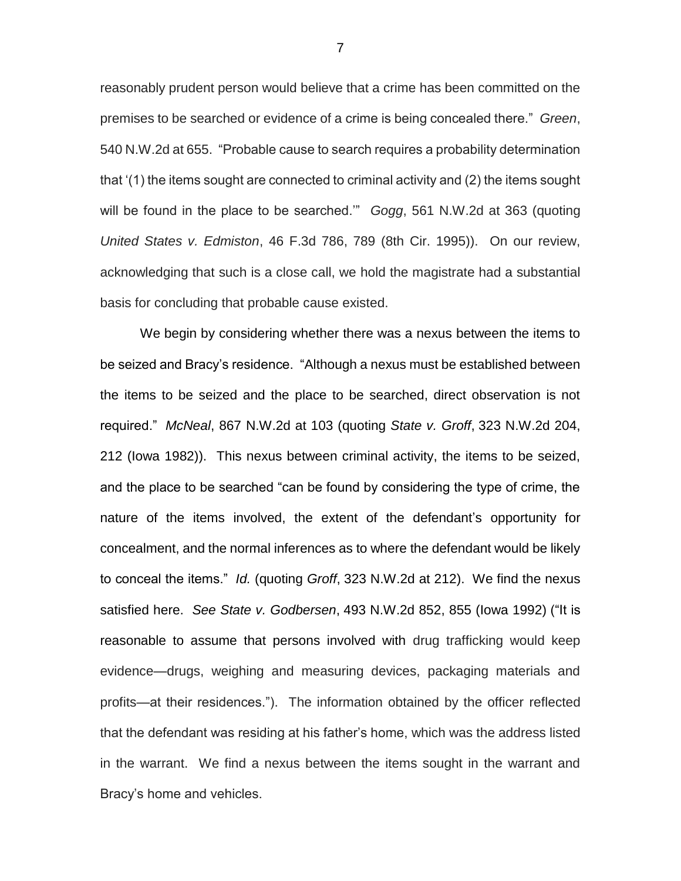reasonably prudent person would believe that a crime has been committed on the premises to be searched or evidence of a crime is being concealed there." *Green*, 540 N.W.2d at 655. "Probable cause to search requires a probability determination that '(1) the items sought are connected to criminal activity and (2) the items sought will be found in the place to be searched.'" *Gogg*, 561 N.W.2d at 363 (quoting *United States v. Edmiston*, 46 F.3d 786, 789 (8th Cir. 1995)). On our review, acknowledging that such is a close call, we hold the magistrate had a substantial basis for concluding that probable cause existed.

We begin by considering whether there was a nexus between the items to be seized and Bracy's residence. "Although a nexus must be established between the items to be seized and the place to be searched, direct observation is not required." *McNeal*, 867 N.W.2d at 103 (quoting *State v. Groff*, 323 N.W.2d 204, 212 (Iowa 1982)). This nexus between criminal activity, the items to be seized, and the place to be searched "can be found by considering the type of crime, the nature of the items involved, the extent of the defendant's opportunity for concealment, and the normal inferences as to where the defendant would be likely to conceal the items." *Id.* (quoting *Groff*, 323 N.W.2d at 212). We find the nexus satisfied here. *See State v. Godbersen*, 493 N.W.2d 852, 855 (Iowa 1992) ("It is reasonable to assume that persons involved with drug trafficking would keep evidence—drugs, weighing and measuring devices, packaging materials and profits—at their residences."). The information obtained by the officer reflected that the defendant was residing at his father's home, which was the address listed in the warrant. We find a nexus between the items sought in the warrant and Bracy's home and vehicles.

7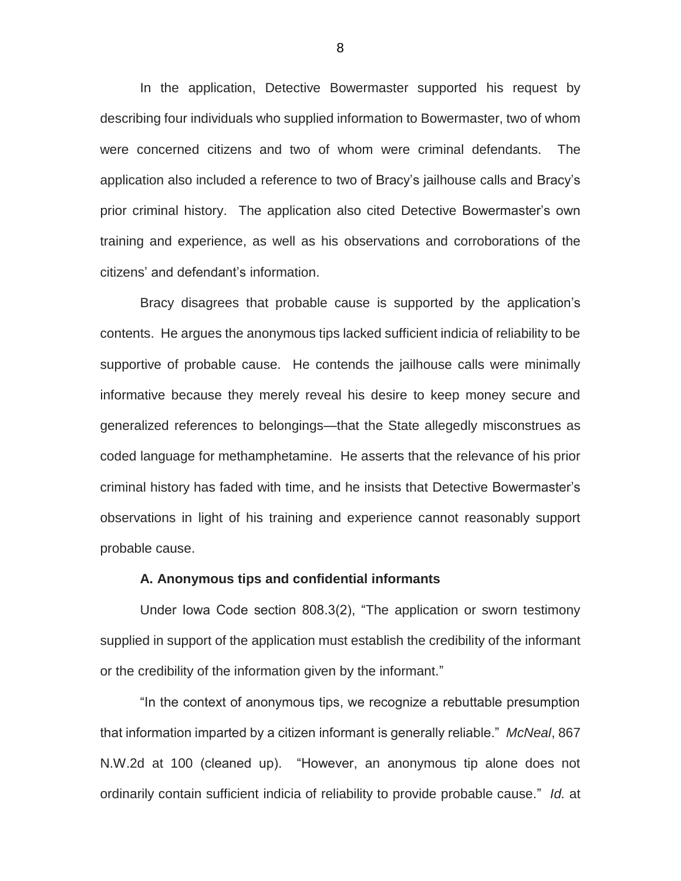In the application, Detective Bowermaster supported his request by describing four individuals who supplied information to Bowermaster, two of whom were concerned citizens and two of whom were criminal defendants. The application also included a reference to two of Bracy's jailhouse calls and Bracy's prior criminal history. The application also cited Detective Bowermaster's own training and experience, as well as his observations and corroborations of the citizens' and defendant's information.

Bracy disagrees that probable cause is supported by the application's contents. He argues the anonymous tips lacked sufficient indicia of reliability to be supportive of probable cause. He contends the jailhouse calls were minimally informative because they merely reveal his desire to keep money secure and generalized references to belongings—that the State allegedly misconstrues as coded language for methamphetamine. He asserts that the relevance of his prior criminal history has faded with time, and he insists that Detective Bowermaster's observations in light of his training and experience cannot reasonably support probable cause.

#### **A. Anonymous tips and confidential informants**

Under Iowa Code section 808.3(2), "The application or sworn testimony supplied in support of the application must establish the credibility of the informant or the credibility of the information given by the informant."

"In the context of anonymous tips, we recognize a rebuttable presumption that information imparted by a citizen informant is generally reliable." *McNeal*, 867 N.W.2d at 100 (cleaned up). "However, an anonymous tip alone does not ordinarily contain sufficient indicia of reliability to provide probable cause." *Id.* at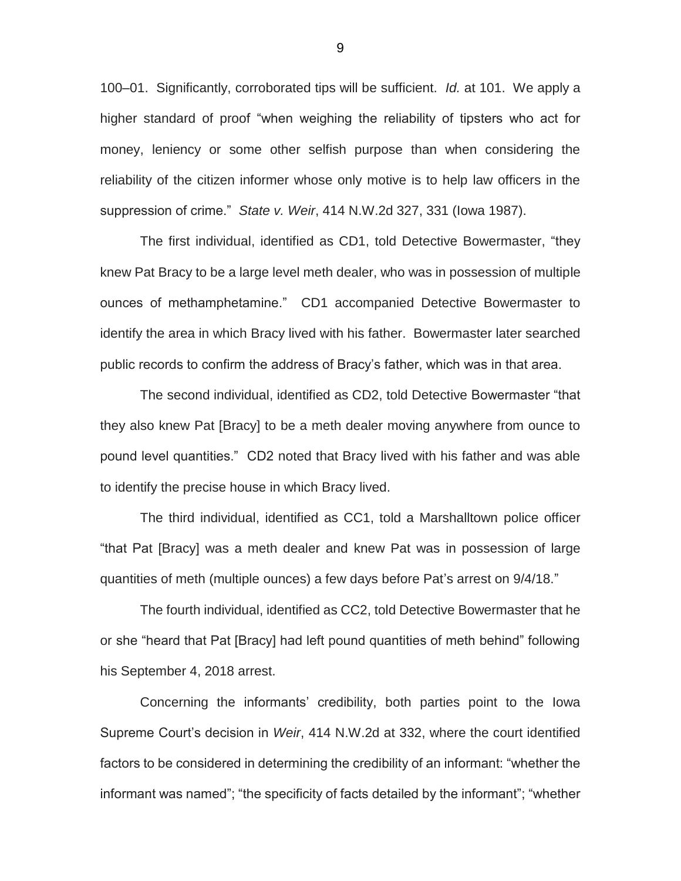100–01. Significantly, corroborated tips will be sufficient. *Id.* at 101. We apply a higher standard of proof "when weighing the reliability of tipsters who act for money, leniency or some other selfish purpose than when considering the reliability of the citizen informer whose only motive is to help law officers in the suppression of crime." *State v. Weir*, 414 N.W.2d 327, 331 (Iowa 1987).

The first individual, identified as CD1, told Detective Bowermaster, "they knew Pat Bracy to be a large level meth dealer, who was in possession of multiple ounces of methamphetamine." CD1 accompanied Detective Bowermaster to identify the area in which Bracy lived with his father. Bowermaster later searched public records to confirm the address of Bracy's father, which was in that area.

The second individual, identified as CD2, told Detective Bowermaster "that they also knew Pat [Bracy] to be a meth dealer moving anywhere from ounce to pound level quantities." CD2 noted that Bracy lived with his father and was able to identify the precise house in which Bracy lived.

The third individual, identified as CC1, told a Marshalltown police officer "that Pat [Bracy] was a meth dealer and knew Pat was in possession of large quantities of meth (multiple ounces) a few days before Pat's arrest on 9/4/18."

The fourth individual, identified as CC2, told Detective Bowermaster that he or she "heard that Pat [Bracy] had left pound quantities of meth behind" following his September 4, 2018 arrest.

Concerning the informants' credibility, both parties point to the Iowa Supreme Court's decision in *Weir*, 414 N.W.2d at 332, where the court identified factors to be considered in determining the credibility of an informant: "whether the informant was named"; "the specificity of facts detailed by the informant"; "whether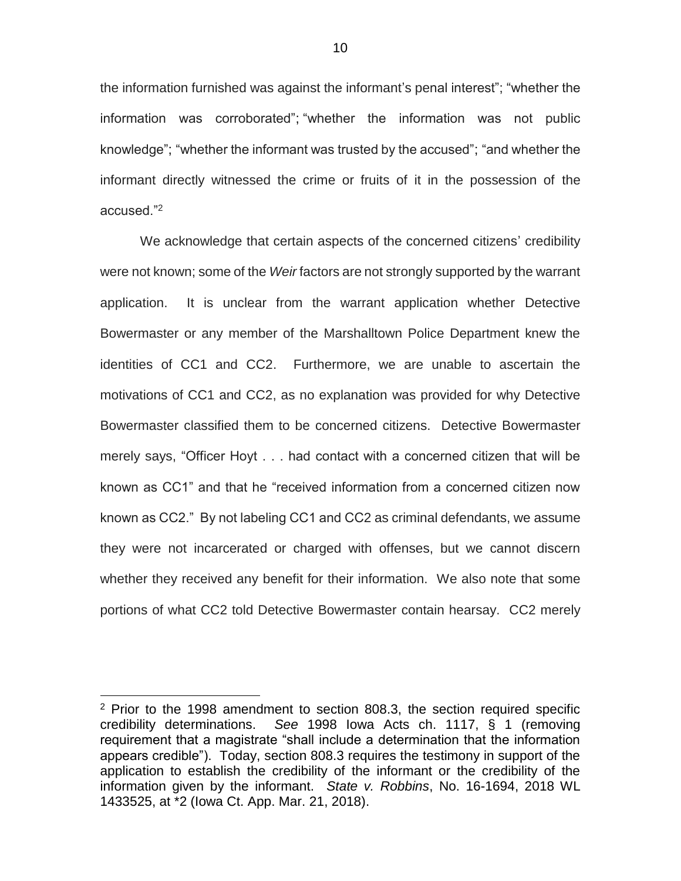the information furnished was against the informant's penal interest"; "whether the information was corroborated"; "whether the information was not public knowledge"; "whether the informant was trusted by the accused"; "and whether the informant directly witnessed the crime or fruits of it in the possession of the accused."<sup>2</sup>

We acknowledge that certain aspects of the concerned citizens' credibility were not known; some of the *Weir* factors are not strongly supported by the warrant application. It is unclear from the warrant application whether Detective Bowermaster or any member of the Marshalltown Police Department knew the identities of CC1 and CC2. Furthermore, we are unable to ascertain the motivations of CC1 and CC2, as no explanation was provided for why Detective Bowermaster classified them to be concerned citizens. Detective Bowermaster merely says, "Officer Hoyt . . . had contact with a concerned citizen that will be known as CC1" and that he "received information from a concerned citizen now known as CC2." By not labeling CC1 and CC2 as criminal defendants, we assume they were not incarcerated or charged with offenses, but we cannot discern whether they received any benefit for their information. We also note that some portions of what CC2 told Detective Bowermaster contain hearsay. CC2 merely

 $\overline{a}$ 

 $2$  Prior to the 1998 amendment to section 808.3, the section required specific credibility determinations. *See* 1998 Iowa Acts ch. 1117, § 1 (removing requirement that a magistrate "shall include a determination that the information appears credible"). Today, section 808.3 requires the testimony in support of the application to establish the credibility of the informant or the credibility of the information given by the informant. *State v. Robbins*, No. 16-1694, 2018 WL 1433525, at \*2 (Iowa Ct. App. Mar. 21, 2018).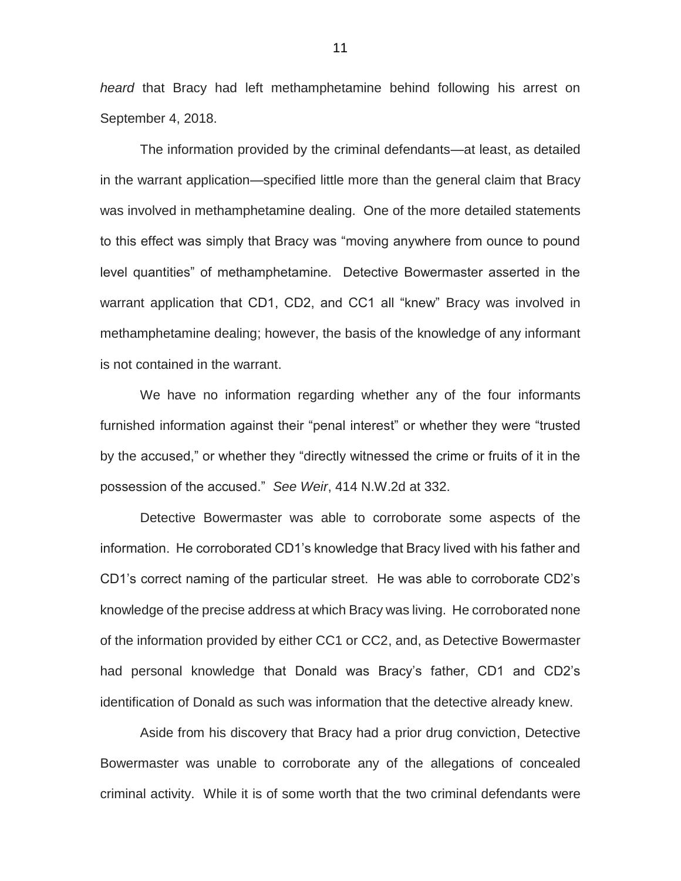*heard* that Bracy had left methamphetamine behind following his arrest on September 4, 2018.

The information provided by the criminal defendants—at least, as detailed in the warrant application—specified little more than the general claim that Bracy was involved in methamphetamine dealing. One of the more detailed statements to this effect was simply that Bracy was "moving anywhere from ounce to pound level quantities" of methamphetamine. Detective Bowermaster asserted in the warrant application that CD1, CD2, and CC1 all "knew" Bracy was involved in methamphetamine dealing; however, the basis of the knowledge of any informant is not contained in the warrant.

We have no information regarding whether any of the four informants furnished information against their "penal interest" or whether they were "trusted by the accused," or whether they "directly witnessed the crime or fruits of it in the possession of the accused." *See Weir*, 414 N.W.2d at 332.

Detective Bowermaster was able to corroborate some aspects of the information. He corroborated CD1's knowledge that Bracy lived with his father and CD1's correct naming of the particular street. He was able to corroborate CD2's knowledge of the precise address at which Bracy was living. He corroborated none of the information provided by either CC1 or CC2, and, as Detective Bowermaster had personal knowledge that Donald was Bracy's father, CD1 and CD2's identification of Donald as such was information that the detective already knew.

Aside from his discovery that Bracy had a prior drug conviction, Detective Bowermaster was unable to corroborate any of the allegations of concealed criminal activity. While it is of some worth that the two criminal defendants were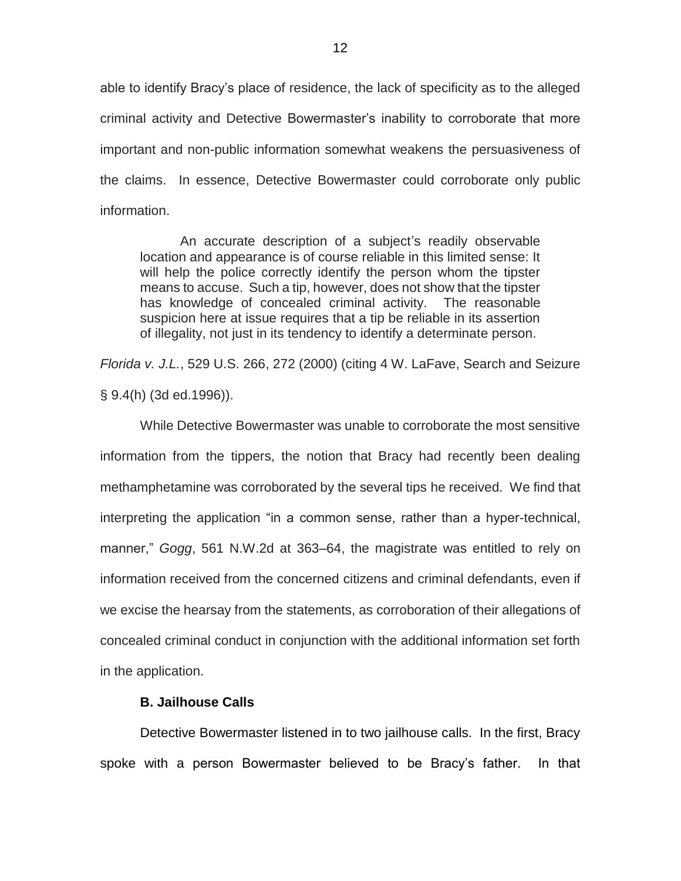able to identify Bracy's place of residence, the lack of specificity as to the alleged criminal activity and Detective Bowermaster's inability to corroborate that more important and non-public information somewhat weakens the persuasiveness of the claims. In essence, Detective Bowermaster could corroborate only public information.

An accurate description of a subject's readily observable location and appearance is of course reliable in this limited sense: It will help the police correctly identify the person whom the tipster means to accuse. Such a tip, however, does not show that the tipster has knowledge of concealed criminal activity. The reasonable suspicion here at issue requires that a tip be reliable in its assertion of illegality, not just in its tendency to identify a determinate person.

*Florida v. J.L.*, 529 U.S. 266, 272 (2000) (citing 4 W. LaFave, Search and Seizure § 9.4(h) (3d ed.1996)).

While Detective Bowermaster was unable to corroborate the most sensitive information from the tippers, the notion that Bracy had recently been dealing methamphetamine was corroborated by the several tips he received. We find that interpreting the application "in a common sense, rather than a hyper-technical, manner," *Gogg*, 561 N.W.2d at 363–64, the magistrate was entitled to rely on information received from the concerned citizens and criminal defendants, even if we excise the hearsay from the statements, as corroboration of their allegations of concealed criminal conduct in conjunction with the additional information set forth in the application.

## **B. Jailhouse Calls**

Detective Bowermaster listened in to two jailhouse calls. In the first, Bracy spoke with a person Bowermaster believed to be Bracy's father. In that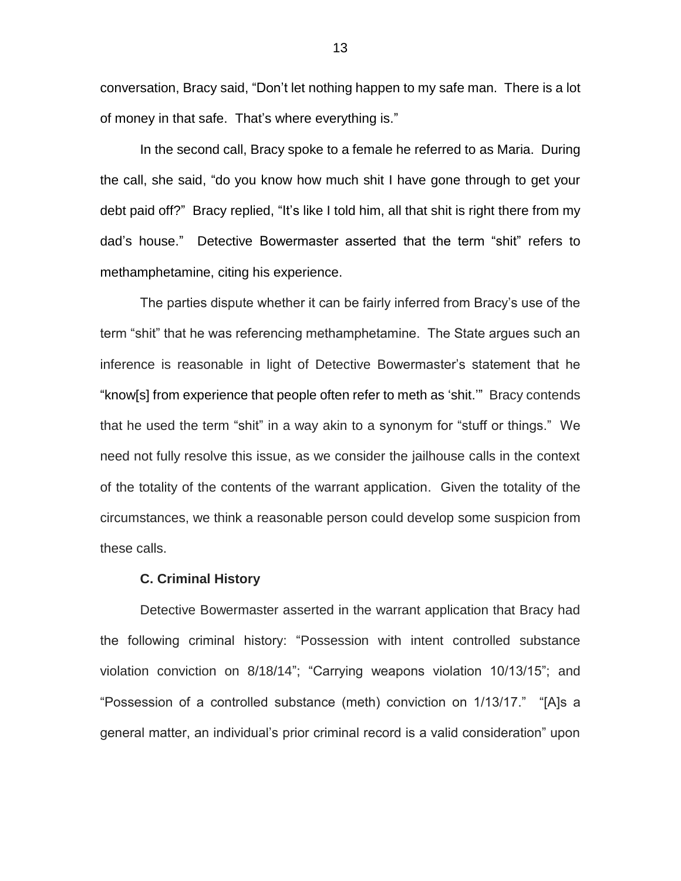conversation, Bracy said, "Don't let nothing happen to my safe man. There is a lot of money in that safe. That's where everything is."

In the second call, Bracy spoke to a female he referred to as Maria. During the call, she said, "do you know how much shit I have gone through to get your debt paid off?" Bracy replied, "It's like I told him, all that shit is right there from my dad's house." Detective Bowermaster asserted that the term "shit" refers to methamphetamine, citing his experience.

The parties dispute whether it can be fairly inferred from Bracy's use of the term "shit" that he was referencing methamphetamine. The State argues such an inference is reasonable in light of Detective Bowermaster's statement that he "know[s] from experience that people often refer to meth as 'shit.'" Bracy contends that he used the term "shit" in a way akin to a synonym for "stuff or things." We need not fully resolve this issue, as we consider the jailhouse calls in the context of the totality of the contents of the warrant application. Given the totality of the circumstances, we think a reasonable person could develop some suspicion from these calls.

### **C. Criminal History**

Detective Bowermaster asserted in the warrant application that Bracy had the following criminal history: "Possession with intent controlled substance violation conviction on 8/18/14"; "Carrying weapons violation 10/13/15"; and "Possession of a controlled substance (meth) conviction on 1/13/17." "[A]s a general matter, an individual's prior criminal record is a valid consideration" upon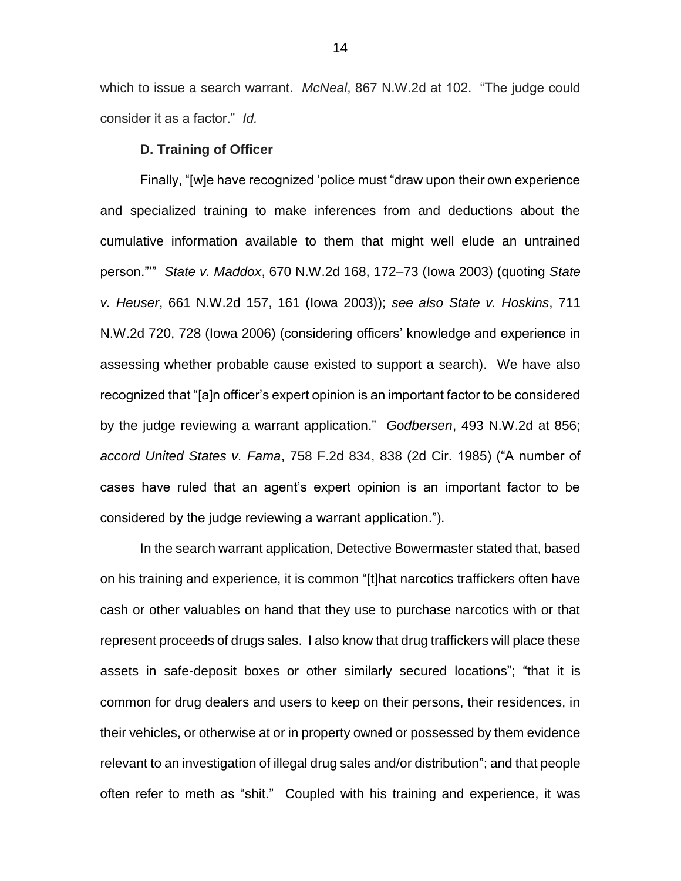which to issue a search warrant. *McNeal*, 867 N.W.2d at 102. "The judge could consider it as a factor." *Id.* 

### **D. Training of Officer**

Finally, "[w]e have recognized 'police must "draw upon their own experience and specialized training to make inferences from and deductions about the cumulative information available to them that might well elude an untrained person."'" *State v. Maddox*, 670 N.W.2d 168, 172–73 (Iowa 2003) (quoting *State v. Heuser*, 661 N.W.2d 157, 161 (Iowa 2003)); *see also State v. Hoskins*, 711 N.W.2d 720, 728 (Iowa 2006) (considering officers' knowledge and experience in assessing whether probable cause existed to support a search). We have also recognized that "[a]n officer's expert opinion is an important factor to be considered by the judge reviewing a warrant application." *Godbersen*, 493 N.W.2d at 856; *accord United States v. Fama*, 758 F.2d 834, 838 (2d Cir. 1985) ("A number of cases have ruled that an agent's expert opinion is an important factor to be considered by the judge reviewing a warrant application.").

In the search warrant application, Detective Bowermaster stated that, based on his training and experience, it is common "[t]hat narcotics traffickers often have cash or other valuables on hand that they use to purchase narcotics with or that represent proceeds of drugs sales. I also know that drug traffickers will place these assets in safe-deposit boxes or other similarly secured locations"; "that it is common for drug dealers and users to keep on their persons, their residences, in their vehicles, or otherwise at or in property owned or possessed by them evidence relevant to an investigation of illegal drug sales and/or distribution"; and that people often refer to meth as "shit." Coupled with his training and experience, it was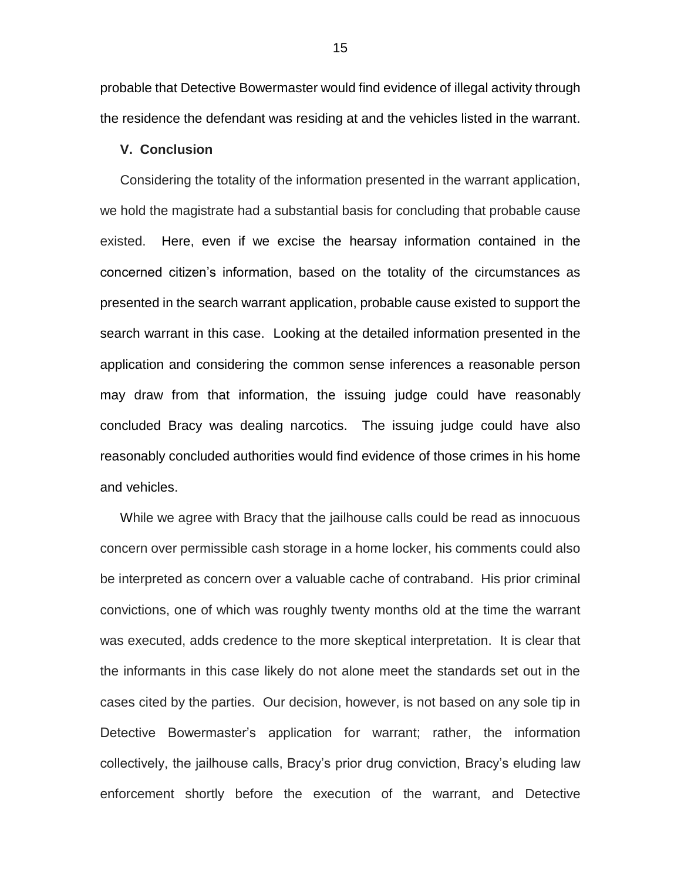probable that Detective Bowermaster would find evidence of illegal activity through the residence the defendant was residing at and the vehicles listed in the warrant.

# **V. Conclusion**

Considering the totality of the information presented in the warrant application, we hold the magistrate had a substantial basis for concluding that probable cause existed. Here, even if we excise the hearsay information contained in the concerned citizen's information, based on the totality of the circumstances as presented in the search warrant application, probable cause existed to support the search warrant in this case. Looking at the detailed information presented in the application and considering the common sense inferences a reasonable person may draw from that information, the issuing judge could have reasonably concluded Bracy was dealing narcotics. The issuing judge could have also reasonably concluded authorities would find evidence of those crimes in his home and vehicles.

While we agree with Bracy that the jailhouse calls could be read as innocuous concern over permissible cash storage in a home locker, his comments could also be interpreted as concern over a valuable cache of contraband. His prior criminal convictions, one of which was roughly twenty months old at the time the warrant was executed, adds credence to the more skeptical interpretation. It is clear that the informants in this case likely do not alone meet the standards set out in the cases cited by the parties. Our decision, however, is not based on any sole tip in Detective Bowermaster's application for warrant; rather, the information collectively, the jailhouse calls, Bracy's prior drug conviction, Bracy's eluding law enforcement shortly before the execution of the warrant, and Detective